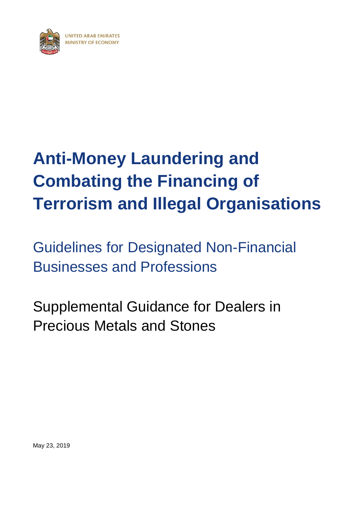<span id="page-0-0"></span>

# **[Anti-Money Laundering](#page-0-0) and [Combating the Financing of](#page-0-0)  [Terrorism and](#page-0-0) Illegal Organisations**

[Guidelines for Designated](#page-0-0) Non-Financial [Businesses and Professions](#page-0-0)

Supplemental Guidance for Dealers in Precious Metals and Stones

May 23, 2019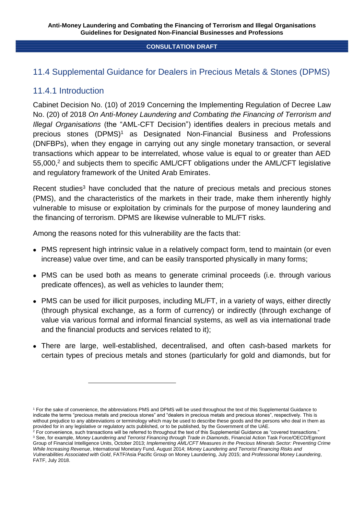# 11.4 Supplemental Guidance for Dealers in Precious Metals & Stones (DPMS)

## 11.4.1 Introduction

1

Cabinet Decision No. (10) of 2019 Concerning the Implementing Regulation of Decree Law No. (20) of 2018 *On Anti-Money Laundering and Combating the Financing of Terrorism and Illegal Organisations* (the "AML-CFT Decision") identifies dealers in precious metals and precious stones (DPMS)<sup>1</sup> as Designated Non-Financial Business and Professions (DNFBPs), when they engage in carrying out any single monetary transaction, or several transactions which appear to be interrelated, whose value is equal to or greater than AED 55,000,<sup>2</sup> and subjects them to specific AML/CFT obligations under the AML/CFT legislative and regulatory framework of the United Arab Emirates.

Recent studies<sup>3</sup> have concluded that the nature of precious metals and precious stones (PMS), and the characteristics of the markets in their trade, make them inherently highly vulnerable to misuse or exploitation by criminals for the purpose of money laundering and the financing of terrorism. DPMS are likewise vulnerable to ML/FT risks.

Among the reasons noted for this vulnerability are the facts that:

- PMS represent high intrinsic value in a relatively compact form, tend to maintain (or even increase) value over time, and can be easily transported physically in many forms;
- PMS can be used both as means to generate criminal proceeds (i.e. through various predicate offences), as well as vehicles to launder them;
- PMS can be used for illicit purposes, including ML/FT, in a variety of ways, either directly (through physical exchange, as a form of currency) or indirectly (through exchange of value via various formal and informal financial systems, as well as via international trade and the financial products and services related to it);
- There are large, well-established, decentralised, and often cash-based markets for certain types of precious metals and stones (particularly for gold and diamonds, but for

 $2$  For convenience, such transactions will be referred to throughout the text of this Supplemental Guidance as "covered transactions." <sup>3</sup> See, for example, *Money Laundering and Terrorist Financing through Trade in Diamonds*, Financial Action Task Force/OECD/Egmont Group of Financial Intelligence Units, October 2013; *Implementing AML/CFT Measures in the Precious Minerals Sector: Preventing Crime While Increasing Revenue*, International Monetary Fund, August 2014; *Money Laundering and Terrorist Financing Risks and Vulnerabilities Associated with Gold*, FATF/Asia Pacific Group on Money Laundering, July 2015; and *Professional Money Laundering*, FATF, July 2018.

<sup>1</sup> For the sake of convenience, the abbreviations PMS and DPMS will be used throughout the text of this Supplemental Guidance to indicate the terms "precious metals and precious stones" and "dealers in precious metals and precious stones", respectively. This is without prejudice to any abbreviations or terminology which may be used to describe these goods and the persons who deal in them as provided for in any legislative or regulatory acts published, or to be published, by the Government of the UAE.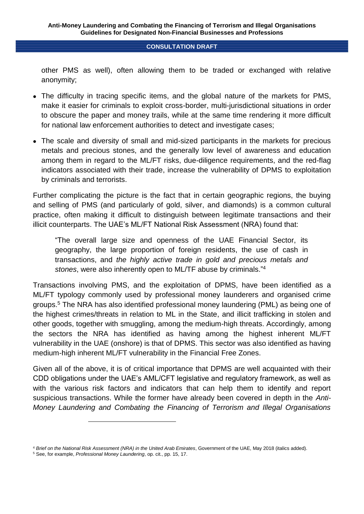other PMS as well), often allowing them to be traded or exchanged with relative anonymity;

- The difficulty in tracing specific items, and the global nature of the markets for PMS, make it easier for criminals to exploit cross-border, multi-jurisdictional situations in order to obscure the paper and money trails, while at the same time rendering it more difficult for national law enforcement authorities to detect and investigate cases;
- The scale and diversity of small and mid-sized participants in the markets for precious metals and precious stones, and the generally low level of awareness and education among them in regard to the ML/FT risks, due-diligence requirements, and the red-flag indicators associated with their trade, increase the vulnerability of DPMS to exploitation by criminals and terrorists.

Further complicating the picture is the fact that in certain geographic regions, the buying and selling of PMS (and particularly of gold, silver, and diamonds) is a common cultural practice, often making it difficult to distinguish between legitimate transactions and their illicit counterparts. The UAE's ML/FT National Risk Assessment (NRA) found that:

"The overall large size and openness of the UAE Financial Sector, its geography, the large proportion of foreign residents, the use of cash in transactions, and *the highly active trade in gold and precious metals and stones*, were also inherently open to ML/TF abuse by criminals." 4

Transactions involving PMS, and the exploitation of DPMS, have been identified as a ML/FT typology commonly used by professional money launderers and organised crime groups. <sup>5</sup> The NRA has also identified professional money laundering (PML) as being one of the highest crimes/threats in relation to ML in the State, and illicit trafficking in stolen and other goods, together with smuggling, among the medium-high threats. Accordingly, among the sectors the NRA has identified as having among the highest inherent ML/FT vulnerability in the UAE (onshore) is that of DPMS. This sector was also identified as having medium-high inherent ML/FT vulnerability in the Financial Free Zones.

Given all of the above, it is of critical importance that DPMS are well acquainted with their CDD obligations under the UAE's AML/CFT legislative and regulatory framework, as well as with the various risk factors and indicators that can help them to identify and report suspicious transactions. While the former have already been covered in depth in the *Anti-Money Laundering and Combating the Financing of Terrorism and Illegal Organisations* 

1

<sup>4</sup> *Brief on the National Risk Assessment (NRA) in the United Arab Emirates*, Government of the UAE, May 2018 (italics added).

<sup>5</sup> See, for example, *Professional Money Laundering*, op. cit., pp. 15, 17.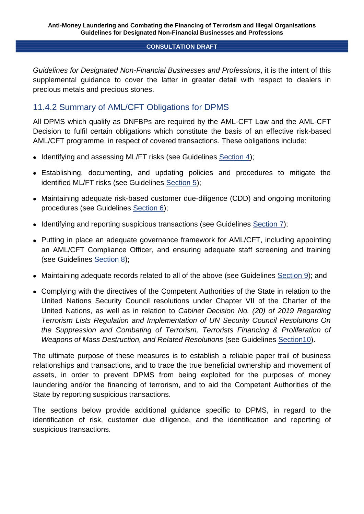*Guidelines for Designated Non-Financial Businesses and Professions*, it is the intent of this supplemental guidance to cover the latter in greater detail with respect to dealers in precious metals and precious stones.

# 11.4.2 Summary of AML/CFT Obligations for DPMS

All DPMS which qualify as DNFBPs are required by the AML-CFT Law and the AML-CFT Decision to fulfil certain obligations which constitute the basis of an effective risk-based AML/CFT programme, in respect of covered transactions. These obligations include:

- Identifying and assessing ML/FT risks (see Guidelines Section 4);
- Establishing, documenting, and updating policies and procedures to mitigate the identified ML/FT risks (see Guidelines Section 5);
- Maintaining adequate risk-based customer due-diligence (CDD) and ongoing monitoring procedures (see Guidelines Section 6);
- Identifying and reporting suspicious transactions (see Guidelines Section 7):
- Putting in place an adequate governance framework for AML/CFT, including appointing an AML/CFT Compliance Officer, and ensuring adequate staff screening and training (see Guidelines Section 8);
- Maintaining adequate records related to all of the above (see Guidelines Section 9); and
- Complying with the directives of the Competent Authorities of the State in relation to the United Nations Security Council resolutions under Chapter VII of the Charter of the United Nations, as well as in relation to *Cabinet Decision No. (20) of 2019 Regarding Terrorism Lists Regulation and Implementation of UN Security Council Resolutions On the Suppression and Combating of Terrorism, Terrorists Financing & Proliferation of Weapons of Mass Destruction, and Related Resolutions* (see Guidelines Section10).

The ultimate purpose of these measures is to establish a reliable paper trail of business relationships and transactions, and to trace the true beneficial ownership and movement of assets, in order to prevent DPMS from being exploited for the purposes of money laundering and/or the financing of terrorism, and to aid the Competent Authorities of the State by reporting suspicious transactions.

The sections below provide additional guidance specific to DPMS, in regard to the identification of risk, customer due diligence, and the identification and reporting of suspicious transactions.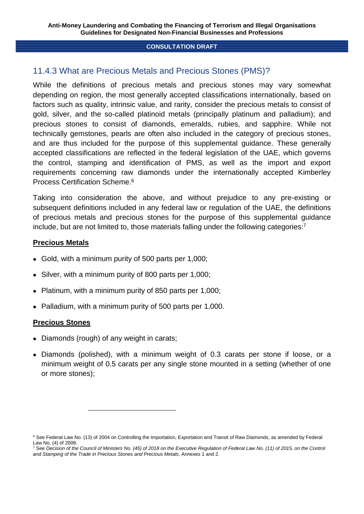# 11.4.3 What are Precious Metals and Precious Stones (PMS)?

While the definitions of precious metals and precious stones may vary somewhat depending on region, the most generally accepted classifications internationally, based on factors such as quality, intrinsic value, and rarity, consider the precious metals to consist of gold, silver, and the so-called platinoid metals (principally platinum and palladium); and precious stones to consist of diamonds, emeralds, rubies, and sapphire. While not technically gemstones, pearls are often also included in the category of precious stones, and are thus included for the purpose of this supplemental guidance. These generally accepted classifications are reflected in the federal legislation of the UAE, which governs the control, stamping and identification of PMS, as well as the import and export requirements concerning raw diamonds under the internationally accepted Kimberley Process Certification Scheme.<sup>6</sup>

Taking into consideration the above, and without prejudice to any pre-existing or subsequent definitions included in any federal law or regulation of the UAE, the definitions of precious metals and precious stones for the purpose of this supplemental guidance include, but are not limited to, those materials falling under the following categories:<sup>7</sup>

## **Precious Metals**

- Gold, with a minimum purity of 500 parts per 1,000;
- Silver, with a minimum purity of 800 parts per 1,000;
- Platinum, with a minimum purity of 850 parts per 1,000:
- Palladium, with a minimum purity of 500 parts per 1,000.

## **Precious Stones**

• Diamonds (rough) of any weight in carats;

-

 Diamonds (polished), with a minimum weight of 0.3 carats per stone if loose, or a minimum weight of 0.5 carats per any single stone mounted in a setting (whether of one or more stones);

<sup>&</sup>lt;sup>6</sup> See Federal Law No. (13) of 2004 on Controlling the Importation, Exportation and Transit of Raw Diamonds, as amended by Federal Law No. (4) of 2008.

<sup>7</sup> See *Decision of the Council of Ministers No. (45) of 2018 on the Executive Regulation of Federal Law No. (11) of 2015, on the Control and Stamping of the Trade in Precious Stones and Precious Metals*, Annexes 1 and 2.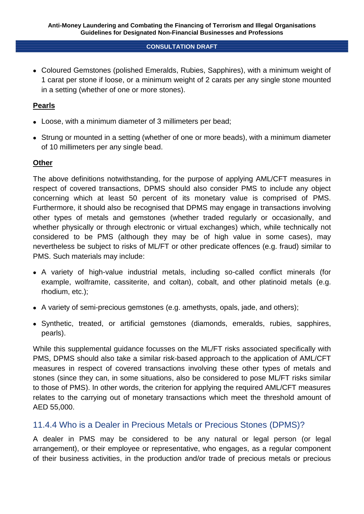Coloured Gemstones (polished Emeralds, Rubies, Sapphires), with a minimum weight of 1 carat per stone if loose, or a minimum weight of 2 carats per any single stone mounted in a setting (whether of one or more stones).

## **Pearls**

- Loose, with a minimum diameter of 3 millimeters per bead;
- Strung or mounted in a setting (whether of one or more beads), with a minimum diameter of 10 millimeters per any single bead.

## **Other**

The above definitions notwithstanding, for the purpose of applying AML/CFT measures in respect of covered transactions, DPMS should also consider PMS to include any object concerning which at least 50 percent of its monetary value is comprised of PMS. Furthermore, it should also be recognised that DPMS may engage in transactions involving other types of metals and gemstones (whether traded regularly or occasionally, and whether physically or through electronic or virtual exchanges) which, while technically not considered to be PMS (although they may be of high value in some cases), may nevertheless be subject to risks of ML/FT or other predicate offences (e.g. fraud) similar to PMS. Such materials may include:

- A variety of high-value industrial metals, including so-called conflict minerals (for example, wolframite, cassiterite, and coltan), cobalt, and other platinoid metals (e.g. rhodium, etc.);
- A variety of semi-precious gemstones (e.g. amethysts, opals, jade, and others);
- Synthetic, treated, or artificial gemstones (diamonds, emeralds, rubies, sapphires, pearls).

While this supplemental guidance focusses on the ML/FT risks associated specifically with PMS, DPMS should also take a similar risk-based approach to the application of AML/CFT measures in respect of covered transactions involving these other types of metals and stones (since they can, in some situations, also be considered to pose ML/FT risks similar to those of PMS). In other words, the criterion for applying the required AML/CFT measures relates to the carrying out of monetary transactions which meet the threshold amount of AED 55,000.

# 11.4.4 Who is a Dealer in Precious Metals or Precious Stones (DPMS)?

A dealer in PMS may be considered to be any natural or legal person (or legal arrangement), or their employee or representative, who engages, as a regular component of their business activities, in the production and/or trade of precious metals or precious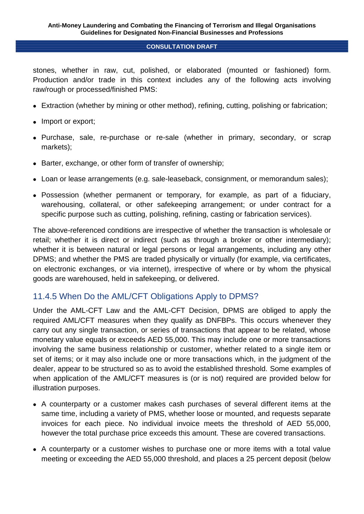stones, whether in raw, cut, polished, or elaborated (mounted or fashioned) form. Production and/or trade in this context includes any of the following acts involving raw/rough or processed/finished PMS:

- Extraction (whether by mining or other method), refining, cutting, polishing or fabrication;
- Import or export;
- Purchase, sale, re-purchase or re-sale (whether in primary, secondary, or scrap markets);
- Barter, exchange, or other form of transfer of ownership;
- Loan or lease arrangements (e.g. sale-leaseback, consignment, or memorandum sales);
- Possession (whether permanent or temporary, for example, as part of a fiduciary, warehousing, collateral, or other safekeeping arrangement; or under contract for a specific purpose such as cutting, polishing, refining, casting or fabrication services).

The above-referenced conditions are irrespective of whether the transaction is wholesale or retail; whether it is direct or indirect (such as through a broker or other intermediary); whether it is between natural or legal persons or legal arrangements, including any other DPMS; and whether the PMS are traded physically or virtually (for example, via certificates, on electronic exchanges, or via internet), irrespective of where or by whom the physical goods are warehoused, held in safekeeping, or delivered.

# 11.4.5 When Do the AML/CFT Obligations Apply to DPMS?

Under the AML-CFT Law and the AML-CFT Decision, DPMS are obliged to apply the required AML/CFT measures when they qualify as DNFBPs. This occurs whenever they carry out any single transaction, or series of transactions that appear to be related, whose monetary value equals or exceeds AED 55,000. This may include one or more transactions involving the same business relationship or customer, whether related to a single item or set of items; or it may also include one or more transactions which, in the judgment of the dealer, appear to be structured so as to avoid the established threshold. Some examples of when application of the AML/CFT measures is (or is not) required are provided below for illustration purposes.

- A counterparty or a customer makes cash purchases of several different items at the same time, including a variety of PMS, whether loose or mounted, and requests separate invoices for each piece. No individual invoice meets the threshold of AED 55,000, however the total purchase price exceeds this amount. These are covered transactions.
- A counterparty or a customer wishes to purchase one or more items with a total value meeting or exceeding the AED 55,000 threshold, and places a 25 percent deposit (below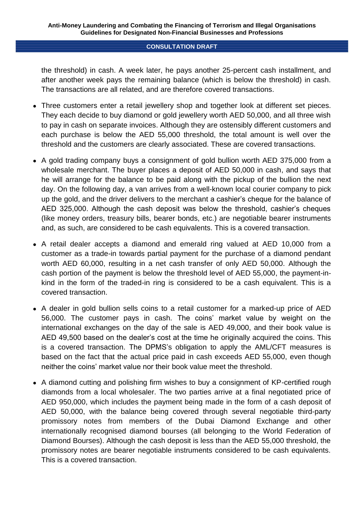the threshold) in cash. A week later, he pays another 25-percent cash installment, and after another week pays the remaining balance (which is below the threshold) in cash. The transactions are all related, and are therefore covered transactions.

- Three customers enter a retail jewellery shop and together look at different set pieces. They each decide to buy diamond or gold jewellery worth AED 50,000, and all three wish to pay in cash on separate invoices. Although they are ostensibly different customers and each purchase is below the AED 55,000 threshold, the total amount is well over the threshold and the customers are clearly associated. These are covered transactions.
- A gold trading company buys a consignment of gold bullion worth AED 375,000 from a wholesale merchant. The buyer places a deposit of AED 50,000 in cash, and says that he will arrange for the balance to be paid along with the pickup of the bullion the next day. On the following day, a van arrives from a well-known local courier company to pick up the gold, and the driver delivers to the merchant a cashier's cheque for the balance of AED 325,000. Although the cash deposit was below the threshold, cashier's cheques (like money orders, treasury bills, bearer bonds, etc.) are negotiable bearer instruments and, as such, are considered to be cash equivalents. This is a covered transaction.
- A retail dealer accepts a diamond and emerald ring valued at AED 10,000 from a customer as a trade-in towards partial payment for the purchase of a diamond pendant worth AED 60,000, resulting in a net cash transfer of only AED 50,000. Although the cash portion of the payment is below the threshold level of AED 55,000, the payment-inkind in the form of the traded-in ring is considered to be a cash equivalent. This is a covered transaction.
- A dealer in gold bullion sells coins to a retail customer for a marked-up price of AED 56,000. The customer pays in cash. The coins' market value by weight on the international exchanges on the day of the sale is AED 49,000, and their book value is AED 49,500 based on the dealer's cost at the time he originally acquired the coins. This is a covered transaction. The DPMS's obligation to apply the AML/CFT measures is based on the fact that the actual price paid in cash exceeds AED 55,000, even though neither the coins' market value nor their book value meet the threshold.
- A diamond cutting and polishing firm wishes to buy a consignment of KP-certified rough diamonds from a local wholesaler. The two parties arrive at a final negotiated price of AED 950,000, which includes the payment being made in the form of a cash deposit of AED 50,000, with the balance being covered through several negotiable third-party promissory notes from members of the Dubai Diamond Exchange and other internationally recognised diamond bourses (all belonging to the World Federation of Diamond Bourses). Although the cash deposit is less than the AED 55,000 threshold, the promissory notes are bearer negotiable instruments considered to be cash equivalents. This is a covered transaction.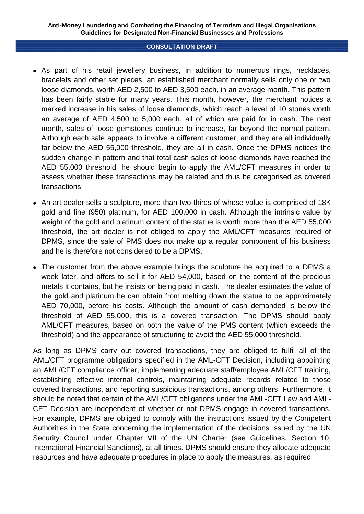- As part of his retail jewellery business, in addition to numerous rings, necklaces, bracelets and other set pieces, an established merchant normally sells only one or two loose diamonds, worth AED 2,500 to AED 3,500 each, in an average month. This pattern has been fairly stable for many years. This month, however, the merchant notices a marked increase in his sales of loose diamonds, which reach a level of 10 stones worth an average of AED 4,500 to 5,000 each, all of which are paid for in cash. The next month, sales of loose gemstones continue to increase, far beyond the normal pattern. Although each sale appears to involve a different customer, and they are all individually far below the AED 55,000 threshold, they are all in cash. Once the DPMS notices the sudden change in pattern and that total cash sales of loose diamonds have reached the AED 55,000 threshold, he should begin to apply the AML/CFT measures in order to assess whether these transactions may be related and thus be categorised as covered transactions.
- An art dealer sells a sculpture, more than two-thirds of whose value is comprised of 18K gold and fine (950) platinum, for AED 100,000 in cash. Although the intrinsic value by weight of the gold and platinum content of the statue is worth more than the AED 55,000 threshold, the art dealer is not obliged to apply the AML/CFT measures required of DPMS, since the sale of PMS does not make up a regular component of his business and he is therefore not considered to be a DPMS.
- The customer from the above example brings the sculpture he acquired to a DPMS a week later, and offers to sell it for AED 54,000, based on the content of the precious metals it contains, but he insists on being paid in cash. The dealer estimates the value of the gold and platinum he can obtain from melting down the statue to be approximately AED 70,000, before his costs. Although the amount of cash demanded is below the threshold of AED 55,000, this is a covered transaction. The DPMS should apply AML/CFT measures, based on both the value of the PMS content (which exceeds the threshold) and the appearance of structuring to avoid the AED 55,000 threshold.

As long as DPMS carry out covered transactions, they are obliged to fulfil all of the AML/CFT programme obligations specified in the AML-CFT Decision, including appointing an AML/CFT compliance officer, implementing adequate staff/employee AML/CFT training, establishing effective internal controls, maintaining adequate records related to those covered transactions, and reporting suspicious transactions, among others. Furthermore, it should be noted that certain of the AML/CFT obligations under the AML-CFT Law and AML-CFT Decision are independent of whether or not DPMS engage in covered transactions. For example, DPMS are obliged to comply with the instructions issued by the Competent Authorities in the State concerning the implementation of the decisions issued by the UN Security Council under Chapter VII of the UN Charter (see Guidelines, Section 10, International Financial Sanctions), at all times. DPMS should ensure they allocate adequate resources and have adequate procedures in place to apply the measures, as required.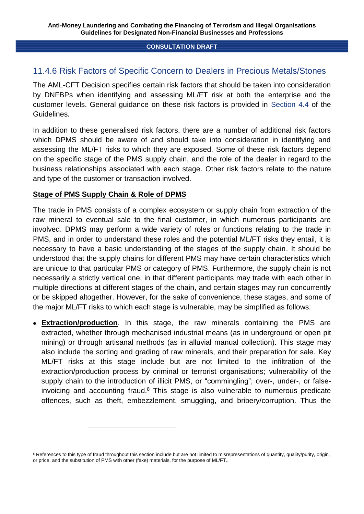# 11.4.6 Risk Factors of Specific Concern to Dealers in Precious Metals/Stones

The AML-CFT Decision specifies certain risk factors that should be taken into consideration by DNFBPs when identifying and assessing ML/FT risk at both the enterprise and the customer levels. General guidance on these risk factors is provided in Section 4.4 of the Guidelines.

In addition to these generalised risk factors, there are a number of additional risk factors which DPMS should be aware of and should take into consideration in identifying and assessing the ML/FT risks to which they are exposed. Some of these risk factors depend on the specific stage of the PMS supply chain, and the role of the dealer in regard to the business relationships associated with each stage. Other risk factors relate to the nature and type of the customer or transaction involved.

## **Stage of PMS Supply Chain & Role of DPMS**

-

The trade in PMS consists of a complex ecosystem or supply chain from extraction of the raw mineral to eventual sale to the final customer, in which numerous participants are involved. DPMS may perform a wide variety of roles or functions relating to the trade in PMS, and in order to understand these roles and the potential ML/FT risks they entail, it is necessary to have a basic understanding of the stages of the supply chain. It should be understood that the supply chains for different PMS may have certain characteristics which are unique to that particular PMS or category of PMS. Furthermore, the supply chain is not necessarily a strictly vertical one, in that different participants may trade with each other in multiple directions at different stages of the chain, and certain stages may run concurrently or be skipped altogether. However, for the sake of convenience, these stages, and some of the major ML/FT risks to which each stage is vulnerable, may be simplified as follows:

 **Extraction/production**. In this stage, the raw minerals containing the PMS are extracted, whether through mechanised industrial means (as in underground or open pit mining) or through artisanal methods (as in alluvial manual collection). This stage may also include the sorting and grading of raw minerals, and their preparation for sale. Key ML/FT risks at this stage include but are not limited to the infiltration of the extraction/production process by criminal or terrorist organisations; vulnerability of the supply chain to the introduction of illicit PMS, or "commingling"; over-, under-, or falseinvoicing and accounting fraud.<sup>8</sup> This stage is also vulnerable to numerous predicate offences, such as theft, embezzlement, smuggling, and bribery/corruption. Thus the

<sup>&</sup>lt;sup>8</sup> References to this type of fraud throughout this section include but are not limited to misrepresentations of quantity, quality/purity, origin, or price, and the substitution of PMS with other (fake) materials, for the purpose of ML/FT..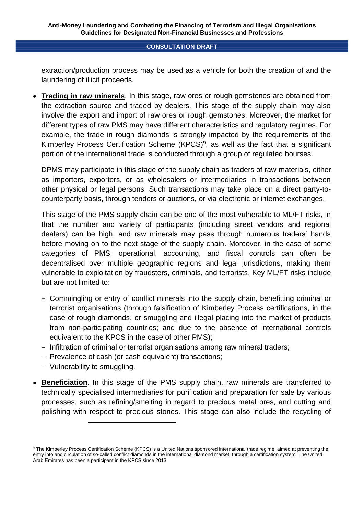extraction/production process may be used as a vehicle for both the creation of and the laundering of illicit proceeds.

 **Trading in raw minerals**. In this stage, raw ores or rough gemstones are obtained from the extraction source and traded by dealers. This stage of the supply chain may also involve the export and import of raw ores or rough gemstones. Moreover, the market for different types of raw PMS may have different characteristics and regulatory regimes. For example, the trade in rough diamonds is strongly impacted by the requirements of the Kimberley Process Certification Scheme  $(KPCS)^9$ , as well as the fact that a significant portion of the international trade is conducted through a group of regulated bourses.

DPMS may participate in this stage of the supply chain as traders of raw materials, either as importers, exporters, or as wholesalers or intermediaries in transactions between other physical or legal persons. Such transactions may take place on a direct party-tocounterparty basis, through tenders or auctions, or via electronic or internet exchanges.

This stage of the PMS supply chain can be one of the most vulnerable to ML/FT risks, in that the number and variety of participants (including street vendors and regional dealers) can be high, and raw minerals may pass through numerous traders' hands before moving on to the next stage of the supply chain. Moreover, in the case of some categories of PMS, operational, accounting, and fiscal controls can often be decentralised over multiple geographic regions and legal jurisdictions, making them vulnerable to exploitation by fraudsters, criminals, and terrorists. Key ML/FT risks include but are not limited to:

- ‒ Commingling or entry of conflict minerals into the supply chain, benefitting criminal or terrorist organisations (through falsification of Kimberley Process certifications, in the case of rough diamonds, or smuggling and illegal placing into the market of products from non-participating countries; and due to the absence of international controls equivalent to the KPCS in the case of other PMS);
- ‒ Infiltration of criminal or terrorist organisations among raw mineral traders;
- ‒ Prevalence of cash (or cash equivalent) transactions;
- ‒ Vulnerability to smuggling.

-

 **Beneficiation**. In this stage of the PMS supply chain, raw minerals are transferred to technically specialised intermediaries for purification and preparation for sale by various processes, such as refining/smelting in regard to precious metal ores, and cutting and polishing with respect to precious stones. This stage can also include the recycling of

<sup>9</sup> The Kimberley Process Certification Scheme (KPCS) is a United Nations sponsored international trade regime, aimed at preventing the entry into and circulation of so-called conflict diamonds in the international diamond market, through a certification system. The United Arab Emirates has been a participant in the KPCS since 2013.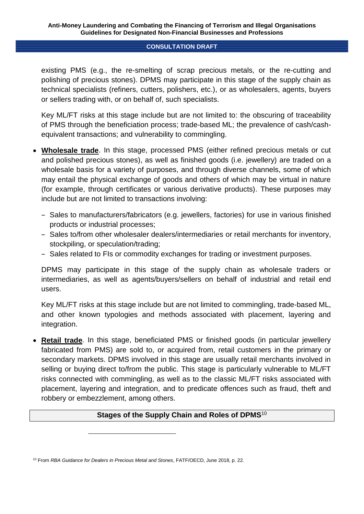existing PMS (e.g., the re-smelting of scrap precious metals, or the re-cutting and polishing of precious stones). DPMS may participate in this stage of the supply chain as technical specialists (refiners, cutters, polishers, etc.), or as wholesalers, agents, buyers or sellers trading with, or on behalf of, such specialists.

Key ML/FT risks at this stage include but are not limited to: the obscuring of traceability of PMS through the beneficiation process; trade-based ML; the prevalence of cash/cashequivalent transactions; and vulnerability to commingling.

- **Wholesale trade**. In this stage, processed PMS (either refined precious metals or cut and polished precious stones), as well as finished goods (i.e. jewellery) are traded on a wholesale basis for a variety of purposes, and through diverse channels, some of which may entail the physical exchange of goods and others of which may be virtual in nature (for example, through certificates or various derivative products). These purposes may include but are not limited to transactions involving:
	- ‒ Sales to manufacturers/fabricators (e.g. jewellers, factories) for use in various finished products or industrial processes;
	- ‒ Sales to/from other wholesaler dealers/intermediaries or retail merchants for inventory, stockpiling, or speculation/trading;
	- Sales related to FIs or commodity exchanges for trading or investment purposes.

DPMS may participate in this stage of the supply chain as wholesale traders or intermediaries, as well as agents/buyers/sellers on behalf of industrial and retail end users.

Key ML/FT risks at this stage include but are not limited to commingling, trade-based ML, and other known typologies and methods associated with placement, layering and integration.

 **Retail trade**. In this stage, beneficiated PMS or finished goods (in particular jewellery fabricated from PMS) are sold to, or acquired from, retail customers in the primary or secondary markets. DPMS involved in this stage are usually retail merchants involved in selling or buying direct to/from the public. This stage is particularly vulnerable to ML/FT risks connected with commingling, as well as to the classic ML/FT risks associated with placement, layering and integration, and to predicate offences such as fraud, theft and robbery or embezzlement, among others.

## **Stages of the Supply Chain and Roles of DPMS**<sup>10</sup>

1

<sup>10</sup> From *RBA Guidance for Dealers in Precious Metal and Stones*, FATF/OECD, June 2018, p. 22.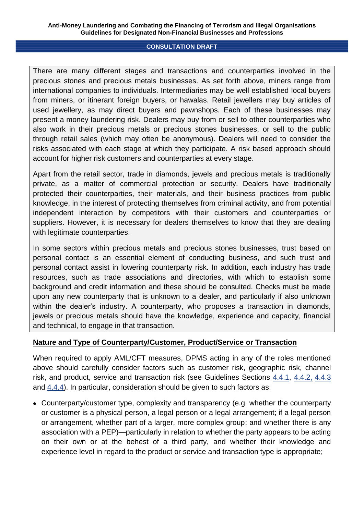There are many different stages and transactions and counterparties involved in the precious stones and precious metals businesses. As set forth above, miners range from international companies to individuals. Intermediaries may be well established local buyers from miners, or itinerant foreign buyers, or hawalas. Retail jewellers may buy articles of used jewellery, as may direct buyers and pawnshops. Each of these businesses may present a money laundering risk. Dealers may buy from or sell to other counterparties who also work in their precious metals or precious stones businesses, or sell to the public through retail sales (which may often be anonymous). Dealers will need to consider the risks associated with each stage at which they participate. A risk based approach should account for higher risk customers and counterparties at every stage.

Apart from the retail sector, trade in diamonds, jewels and precious metals is traditionally private, as a matter of commercial protection or security. Dealers have traditionally protected their counterparties, their materials, and their business practices from public knowledge, in the interest of protecting themselves from criminal activity, and from potential independent interaction by competitors with their customers and counterparties or suppliers. However, it is necessary for dealers themselves to know that they are dealing with legitimate counterparties.

In some sectors within precious metals and precious stones businesses, trust based on personal contact is an essential element of conducting business, and such trust and personal contact assist in lowering counterparty risk. In addition, each industry has trade resources, such as trade associations and directories, with which to establish some background and credit information and these should be consulted. Checks must be made upon any new counterparty that is unknown to a dealer, and particularly if also unknown within the dealer's industry. A counterparty, who proposes a transaction in diamonds, jewels or precious metals should have the knowledge, experience and capacity, financial and technical, to engage in that transaction.

## **Nature and Type of Counterparty/Customer, Product/Service or Transaction**

When required to apply AML/CFT measures, DPMS acting in any of the roles mentioned above should carefully consider factors such as customer risk, geographic risk, channel risk, and product, service and transaction risk (see Guidelines Sections 4.4.1, 4.4.2, 4.4.3 and 4.4.4). In particular, consideration should be given to such factors as:

 Counterparty/customer type, complexity and transparency (e.g. whether the counterparty or customer is a physical person, a legal person or a legal arrangement; if a legal person or arrangement, whether part of a larger, more complex group; and whether there is any association with a PEP)—particularly in relation to whether the party appears to be acting on their own or at the behest of a third party, and whether their knowledge and experience level in regard to the product or service and transaction type is appropriate;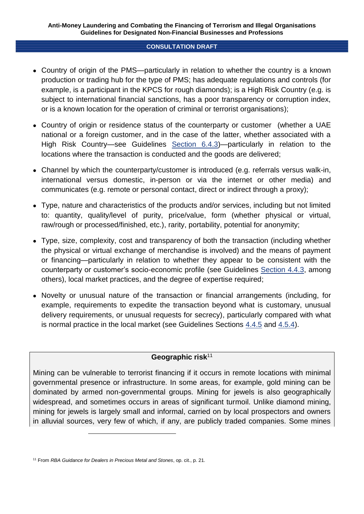- Country of origin of the PMS—particularly in relation to whether the country is a known production or trading hub for the type of PMS; has adequate regulations and controls (for example, is a participant in the KPCS for rough diamonds); is a High Risk Country (e.g. is subject to international financial sanctions, has a poor transparency or corruption index, or is a known location for the operation of criminal or terrorist organisations);
- Country of origin or residence status of the counterparty or customer (whether a UAE national or a foreign customer, and in the case of the latter, whether associated with a High Risk Country—see Guidelines Section 6.4.3)—particularly in relation to the locations where the transaction is conducted and the goods are delivered;
- Channel by which the counterparty/customer is introduced (e.g. referrals versus walk-in, international versus domestic, in-person or via the internet or other media) and communicates (e.g. remote or personal contact, direct or indirect through a proxy);
- Type, nature and characteristics of the products and/or services, including but not limited to: quantity, quality/level of purity, price/value, form (whether physical or virtual, raw/rough or processed/finished, etc.), rarity, portability, potential for anonymity;
- Type, size, complexity, cost and transparency of both the transaction (including whether the physical or virtual exchange of merchandise is involved) and the means of payment or financing—particularly in relation to whether they appear to be consistent with the counterparty or customer's socio-economic profile (see Guidelines Section 4.4.3, among others), local market practices, and the degree of expertise required;
- Novelty or unusual nature of the transaction or financial arrangements (including, for example, requirements to expedite the transaction beyond what is customary, unusual delivery requirements, or unusual requests for secrecy), particularly compared with what is normal practice in the local market (see Guidelines Sections 4.4.5 and 4.5.4).

## **Geographic risk**<sup>11</sup>

Mining can be vulnerable to terrorist financing if it occurs in remote locations with minimal governmental presence or infrastructure. In some areas, for example, gold mining can be dominated by armed non-governmental groups. Mining for jewels is also geographically widespread, and sometimes occurs in areas of significant turmoil. Unlike diamond mining, mining for jewels is largely small and informal, carried on by local prospectors and owners in alluvial sources, very few of which, if any, are publicly traded companies. Some mines

1

<sup>11</sup> From *RBA Guidance for Dealers in Precious Metal and Stones*, op. cit., p. 21.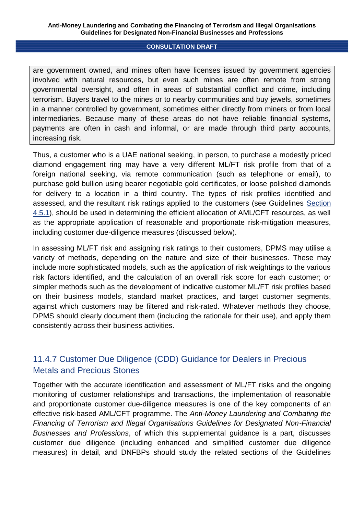are government owned, and mines often have licenses issued by government agencies involved with natural resources, but even such mines are often remote from strong governmental oversight, and often in areas of substantial conflict and crime, including terrorism. Buyers travel to the mines or to nearby communities and buy jewels, sometimes in a manner controlled by government, sometimes either directly from miners or from local intermediaries. Because many of these areas do not have reliable financial systems, payments are often in cash and informal, or are made through third party accounts, increasing risk.

Thus, a customer who is a UAE national seeking, in person, to purchase a modestly priced diamond engagement ring may have a very different ML/FT risk profile from that of a foreign national seeking, via remote communication (such as telephone or email), to purchase gold bullion using bearer negotiable gold certificates, or loose polished diamonds for delivery to a location in a third country. The types of risk profiles identified and assessed, and the resultant risk ratings applied to the customers (see Guidelines Section 4.5.1), should be used in determining the efficient allocation of AML/CFT resources, as well as the appropriate application of reasonable and proportionate risk-mitigation measures, including customer due-diligence measures (discussed below).

In assessing ML/FT risk and assigning risk ratings to their customers, DPMS may utilise a variety of methods, depending on the nature and size of their businesses. These may include more sophisticated models, such as the application of risk weightings to the various risk factors identified, and the calculation of an overall risk score for each customer; or simpler methods such as the development of indicative customer ML/FT risk profiles based on their business models, standard market practices, and target customer segments, against which customers may be filtered and risk-rated. Whatever methods they choose, DPMS should clearly document them (including the rationale for their use), and apply them consistently across their business activities.

# 11.4.7 Customer Due Diligence (CDD) Guidance for Dealers in Precious Metals and Precious Stones

Together with the accurate identification and assessment of ML/FT risks and the ongoing monitoring of customer relationships and transactions, the implementation of reasonable and proportionate customer due-diligence measures is one of the key components of an effective risk-based AML/CFT programme. The *Anti-Money Laundering and Combating the Financing of Terrorism and Illegal Organisations Guidelines for Designated Non-Financial Businesses and Professions*, of which this supplemental guidance is a part, discusses customer due diligence (including enhanced and simplified customer due diligence measures) in detail, and DNFBPs should study the related sections of the Guidelines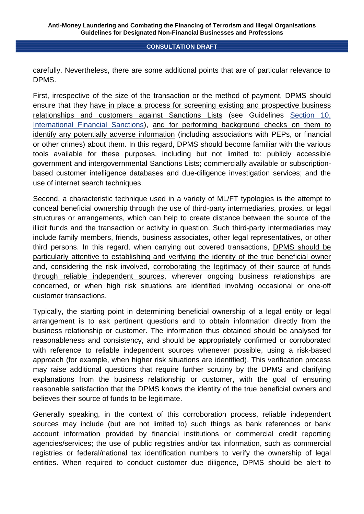carefully. Nevertheless, there are some additional points that are of particular relevance to DPMS.

First, irrespective of the size of the transaction or the method of payment, DPMS should ensure that they have in place a process for screening existing and prospective business relationships and customers against Sanctions Lists (see Guidelines Section 10, International Financial Sanctions), and for performing background checks on them to identify any potentially adverse information (including associations with PEPs, or financial or other crimes) about them. In this regard, DPMS should become familiar with the various tools available for these purposes, including but not limited to: publicly accessible government and intergovernmental Sanctions Lists; commercially available or subscriptionbased customer intelligence databases and due-diligence investigation services; and the use of internet search techniques.

Second, a characteristic technique used in a variety of ML/FT typologies is the attempt to conceal beneficial ownership through the use of third-party intermediaries, proxies, or legal structures or arrangements, which can help to create distance between the source of the illicit funds and the transaction or activity in question. Such third-party intermediaries may include family members, friends, business associates, other legal representatives, or other third persons. In this regard, when carrying out covered transactions, DPMS should be particularly attentive to establishing and verifying the identity of the true beneficial owner and, considering the risk involved, corroborating the legitimacy of their source of funds through reliable independent sources, wherever ongoing business relationships are concerned, or when high risk situations are identified involving occasional or one-off customer transactions.

Typically, the starting point in determining beneficial ownership of a legal entity or legal arrangement is to ask pertinent questions and to obtain information directly from the business relationship or customer. The information thus obtained should be analysed for reasonableness and consistency, and should be appropriately confirmed or corroborated with reference to reliable independent sources whenever possible, using a risk-based approach (for example, when higher risk situations are identified). This verification process may raise additional questions that require further scrutiny by the DPMS and clarifying explanations from the business relationship or customer, with the goal of ensuring reasonable satisfaction that the DPMS knows the identity of the true beneficial owners and believes their source of funds to be legitimate.

Generally speaking, in the context of this corroboration process, reliable independent sources may include (but are not limited to) such things as bank references or bank account information provided by financial institutions or commercial credit reporting agencies/services; the use of public registries and/or tax information, such as commercial registries or federal/national tax identification numbers to verify the ownership of legal entities. When required to conduct customer due diligence, DPMS should be alert to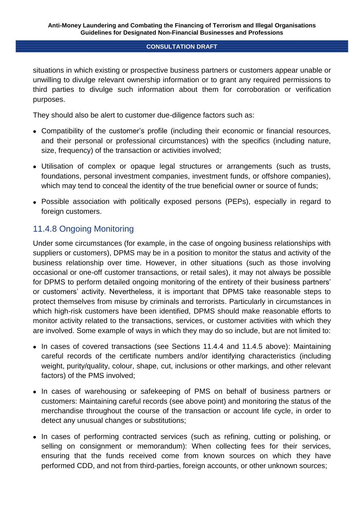situations in which existing or prospective business partners or customers appear unable or unwilling to divulge relevant ownership information or to grant any required permissions to third parties to divulge such information about them for corroboration or verification purposes.

They should also be alert to customer due-diligence factors such as:

- Compatibility of the customer's profile (including their economic or financial resources, and their personal or professional circumstances) with the specifics (including nature, size, frequency) of the transaction or activities involved;
- Utilisation of complex or opaque legal structures or arrangements (such as trusts, foundations, personal investment companies, investment funds, or offshore companies), which may tend to conceal the identity of the true beneficial owner or source of funds;
- Possible association with politically exposed persons (PEPs), especially in regard to foreign customers.

# 11.4.8 Ongoing Monitoring

Under some circumstances (for example, in the case of ongoing business relationships with suppliers or customers), DPMS may be in a position to monitor the status and activity of the business relationship over time. However, in other situations (such as those involving occasional or one-off customer transactions, or retail sales), it may not always be possible for DPMS to perform detailed ongoing monitoring of the entirety of their business partners' or customers' activity. Nevertheless, it is important that DPMS take reasonable steps to protect themselves from misuse by criminals and terrorists. Particularly in circumstances in which high-risk customers have been identified, DPMS should make reasonable efforts to monitor activity related to the transactions, services, or customer activities with which they are involved. Some example of ways in which they may do so include, but are not limited to:

- In cases of covered transactions (see Sections 11.4.4 and 11.4.5 above): Maintaining careful records of the certificate numbers and/or identifying characteristics (including weight, purity/quality, colour, shape, cut, inclusions or other markings, and other relevant factors) of the PMS involved;
- In cases of warehousing or safekeeping of PMS on behalf of business partners or customers: Maintaining careful records (see above point) and monitoring the status of the merchandise throughout the course of the transaction or account life cycle, in order to detect any unusual changes or substitutions;
- In cases of performing contracted services (such as refining, cutting or polishing, or selling on consignment or memorandum): When collecting fees for their services, ensuring that the funds received come from known sources on which they have performed CDD, and not from third-parties, foreign accounts, or other unknown sources;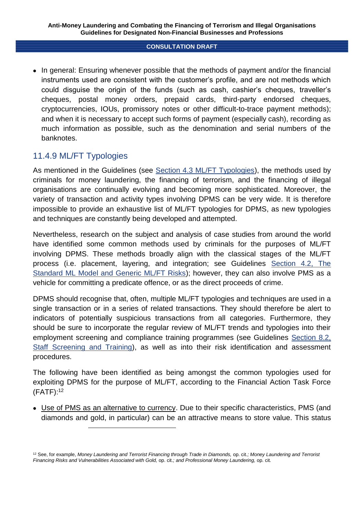• In general: Ensuring whenever possible that the methods of payment and/or the financial instruments used are consistent with the customer's profile, and are not methods which could disguise the origin of the funds (such as cash, cashier's cheques, traveller's cheques, postal money orders, prepaid cards, third-party endorsed cheques, cryptocurrencies, IOUs, promissory notes or other difficult-to-trace payment methods); and when it is necessary to accept such forms of payment (especially cash), recording as much information as possible, such as the denomination and serial numbers of the banknotes.

## 11.4.9 ML/FT Typologies

-

As mentioned in the Guidelines (see Section 4.3 ML/FT Typologies), the methods used by criminals for money laundering, the financing of terrorism, and the financing of illegal organisations are continually evolving and becoming more sophisticated. Moreover, the variety of transaction and activity types involving DPMS can be very wide. It is therefore impossible to provide an exhaustive list of ML/FT typologies for DPMS, as new typologies and techniques are constantly being developed and attempted.

Nevertheless, research on the subject and analysis of case studies from around the world have identified some common methods used by criminals for the purposes of ML/FT involving DPMS. These methods broadly align with the classical stages of the ML/FT process (i.e. placement, layering, and integration; see Guidelines Section 4.2, The Standard ML Model and Generic ML/FT Risks); however, they can also involve PMS as a vehicle for committing a predicate offence, or as the direct proceeds of crime.

DPMS should recognise that, often, multiple ML/FT typologies and techniques are used in a single transaction or in a series of related transactions. They should therefore be alert to indicators of potentially suspicious transactions from all categories. Furthermore, they should be sure to incorporate the regular review of ML/FT trends and typologies into their employment screening and compliance training programmes (see Guidelines Section 8.2, Staff Screening and Training), as well as into their risk identification and assessment procedures.

The following have been identified as being amongst the common typologies used for exploiting DPMS for the purpose of ML/FT, according to the Financial Action Task Force (FATF): 12

 Use of PMS as an alternative to currency. Due to their specific characteristics, PMS (and diamonds and gold, in particular) can be an attractive means to store value. This status

<sup>12</sup> See, for example, *Money Laundering and Terrorist Financing through Trade in Diamonds,* op. cit.*; Money Laundering and Terrorist Financing Risks and Vulnerabilities Associated with Gold,* op. cit.*; and Professional Money Laundering,* op. cit*.*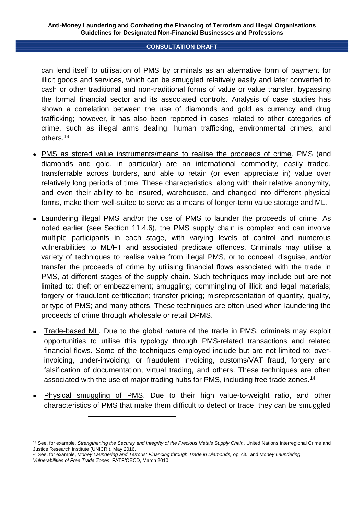can lend itself to utilisation of PMS by criminals as an alternative form of payment for illicit goods and services, which can be smuggled relatively easily and later converted to cash or other traditional and non-traditional forms of value or value transfer, bypassing the formal financial sector and its associated controls. Analysis of case studies has shown a correlation between the use of diamonds and gold as currency and drug trafficking; however, it has also been reported in cases related to other categories of crime, such as illegal arms dealing, human trafficking, environmental crimes, and others.<sup>13</sup>

- PMS as stored value instruments/means to realise the proceeds of crime. PMS (and diamonds and gold, in particular) are an international commodity, easily traded, transferrable across borders, and able to retain (or even appreciate in) value over relatively long periods of time. These characteristics, along with their relative anonymity, and even their ability to be insured, warehoused, and changed into different physical forms, make them well-suited to serve as a means of longer-term value storage and ML.
- Laundering illegal PMS and/or the use of PMS to launder the proceeds of crime. As noted earlier (see Section 11.4.6), the PMS supply chain is complex and can involve multiple participants in each stage, with varying levels of control and numerous vulnerabilities to ML/FT and associated predicate offences. Criminals may utilise a variety of techniques to realise value from illegal PMS, or to conceal, disguise, and/or transfer the proceeds of crime by utilising financial flows associated with the trade in PMS, at different stages of the supply chain. Such techniques may include but are not limited to: theft or embezzlement; smuggling; commingling of illicit and legal materials; forgery or fraudulent certification; transfer pricing; misrepresentation of quantity, quality, or type of PMS; and many others. These techniques are often used when laundering the proceeds of crime through wholesale or retail DPMS.
- Trade-based ML. Due to the global nature of the trade in PMS, criminals may exploit opportunities to utilise this typology through PMS-related transactions and related financial flows. Some of the techniques employed include but are not limited to: overinvoicing, under-invoicing, or fraudulent invoicing, customs/VAT fraud, forgery and falsification of documentation, virtual trading, and others. These techniques are often associated with the use of major trading hubs for PMS, including free trade zones.<sup>14</sup>
- Physical smuggling of PMS. Due to their high value-to-weight ratio, and other characteristics of PMS that make them difficult to detect or trace, they can be smuggled

<sup>&</sup>lt;sup>13</sup> See, for example, *Strengthening the Security and Integrity of the Precious Metals Supply Chain*, United Nations Interregional Crime and Justice Research Institute (UNICRI), May 2016.

<sup>&</sup>lt;sup>14</sup> See, for example, Money Laundering and Terrorist Financing through Trade in Diamonds, op. cit., and Money Laundering *Vulnerabilities of Free Trade Zones*, FATF/OECD, March 2010.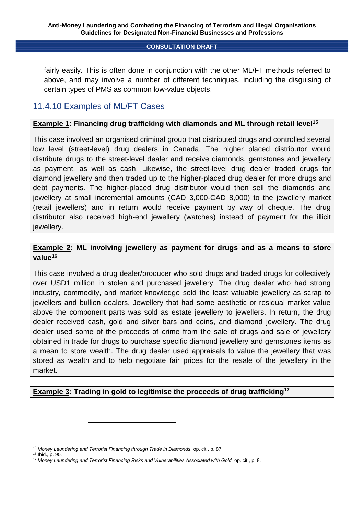fairly easily. This is often done in conjunction with the other ML/FT methods referred to above, and may involve a number of different techniques, including the disguising of certain types of PMS as common low-value objects.

## 11.4.10 Examples of ML/FT Cases

## **Example 1**: **Financing drug trafficking with diamonds and ML through retail level<sup>15</sup>**

This case involved an organised criminal group that distributed drugs and controlled several low level (street-level) drug dealers in Canada. The higher placed distributor would distribute drugs to the street-level dealer and receive diamonds, gemstones and jewellery as payment, as well as cash. Likewise, the street-level drug dealer traded drugs for diamond jewellery and then traded up to the higher-placed drug dealer for more drugs and debt payments. The higher-placed drug distributor would then sell the diamonds and jewellery at small incremental amounts (CAD 3,000-CAD 8,000) to the jewellery market (retail jewellers) and in return would receive payment by way of cheque. The drug distributor also received high-end jewellery (watches) instead of payment for the illicit jewellery.

## **Example 2: ML involving jewellery as payment for drugs and as a means to store value<sup>16</sup>**

This case involved a drug dealer/producer who sold drugs and traded drugs for collectively over USD1 million in stolen and purchased jewellery. The drug dealer who had strong industry, commodity, and market knowledge sold the least valuable jewellery as scrap to jewellers and bullion dealers. Jewellery that had some aesthetic or residual market value above the component parts was sold as estate jewellery to jewellers. In return, the drug dealer received cash, gold and silver bars and coins, and diamond jewellery. The drug dealer used some of the proceeds of crime from the sale of drugs and sale of jewellery obtained in trade for drugs to purchase specific diamond jewellery and gemstones items as a mean to store wealth. The drug dealer used appraisals to value the jewellery that was stored as wealth and to help negotiate fair prices for the resale of the jewellery in the market.

## **Example 3: Trading in gold to legitimise the proceeds of drug trafficking<sup>17</sup>**

<sup>&</sup>lt;sup>15</sup> Money Laundering and Terrorist Financing through Trade in Diamonds, op. cit., p. 87.

<sup>16</sup> Ibid., p. 90.

<sup>&</sup>lt;sup>17</sup> Money Laundering and Terrorist Financing Risks and Vulnerabilities Associated with Gold, op. cit., p. 8.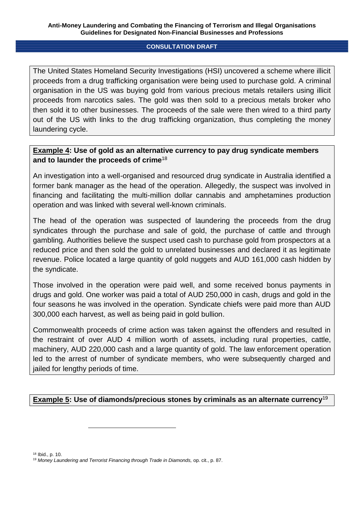The United States Homeland Security Investigations (HSI) uncovered a scheme where illicit proceeds from a drug trafficking organisation were being used to purchase gold. A criminal organisation in the US was buying gold from various precious metals retailers using illicit proceeds from narcotics sales. The gold was then sold to a precious metals broker who then sold it to other businesses. The proceeds of the sale were then wired to a third party out of the US with links to the drug trafficking organization, thus completing the money laundering cycle.

## **Example 4: Use of gold as an alternative currency to pay drug syndicate members and to launder the proceeds of crime**<sup>18</sup>

An investigation into a well-organised and resourced drug syndicate in Australia identified a former bank manager as the head of the operation. Allegedly, the suspect was involved in financing and facilitating the multi-million dollar cannabis and amphetamines production operation and was linked with several well-known criminals.

The head of the operation was suspected of laundering the proceeds from the drug syndicates through the purchase and sale of gold, the purchase of cattle and through gambling. Authorities believe the suspect used cash to purchase gold from prospectors at a reduced price and then sold the gold to unrelated businesses and declared it as legitimate revenue. Police located a large quantity of gold nuggets and AUD 161,000 cash hidden by the syndicate.

Those involved in the operation were paid well, and some received bonus payments in drugs and gold. One worker was paid a total of AUD 250,000 in cash, drugs and gold in the four seasons he was involved in the operation. Syndicate chiefs were paid more than AUD 300,000 each harvest, as well as being paid in gold bullion.

Commonwealth proceeds of crime action was taken against the offenders and resulted in the restraint of over AUD 4 million worth of assets, including rural properties, cattle, machinery, AUD 220,000 cash and a large quantity of gold. The law enforcement operation led to the arrest of number of syndicate members, who were subsequently charged and jailed for lengthy periods of time.

## **Example 5: Use of diamonds/precious stones by criminals as an alternate currency**<sup>19</sup>

<sup>18</sup> Ibid., p. 10.

<sup>&</sup>lt;sup>19</sup> Money Laundering and Terrorist Financing through Trade in Diamonds, op. cit., p. 87.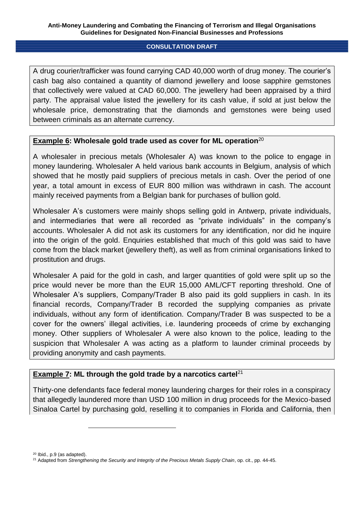A drug courier/trafficker was found carrying CAD 40,000 worth of drug money. The courier's cash bag also contained a quantity of diamond jewellery and loose sapphire gemstones that collectively were valued at CAD 60,000. The jewellery had been appraised by a third party. The appraisal value listed the jewellery for its cash value, if sold at just below the wholesale price, demonstrating that the diamonds and gemstones were being used between criminals as an alternate currency.

## **Example 6: Wholesale gold trade used as cover for ML operation**<sup>20</sup>

A wholesaler in precious metals (Wholesaler A) was known to the police to engage in money laundering. Wholesaler A held various bank accounts in Belgium, analysis of which showed that he mostly paid suppliers of precious metals in cash. Over the period of one year, a total amount in excess of EUR 800 million was withdrawn in cash. The account mainly received payments from a Belgian bank for purchases of bullion gold.

Wholesaler A's customers were mainly shops selling gold in Antwerp, private individuals, and intermediaries that were all recorded as "private individuals" in the company's accounts. Wholesaler A did not ask its customers for any identification, nor did he inquire into the origin of the gold. Enquiries established that much of this gold was said to have come from the black market (jewellery theft), as well as from criminal organisations linked to prostitution and drugs.

Wholesaler A paid for the gold in cash, and larger quantities of gold were split up so the price would never be more than the EUR 15,000 AML/CFT reporting threshold. One of Wholesaler A's suppliers, Company/Trader B also paid its gold suppliers in cash. In its financial records, Company/Trader B recorded the supplying companies as private individuals, without any form of identification. Company/Trader B was suspected to be a cover for the owners' illegal activities, i.e. laundering proceeds of crime by exchanging money. Other suppliers of Wholesaler A were also known to the police, leading to the suspicion that Wholesaler A was acting as a platform to launder criminal proceeds by providing anonymity and cash payments.

## **Example 7: ML through the gold trade by a narcotics cartel**<sup>21</sup>

Thirty-one defendants face federal money laundering charges for their roles in a conspiracy that allegedly laundered more than USD 100 million in drug proceeds for the Mexico-based Sinaloa Cartel by purchasing gold, reselling it to companies in Florida and California, then

<sup>20</sup> Ibid., p.9 (as adapted).

<sup>21</sup> Adapted from *Strengthening the Security and Integrity of the Precious Metals Supply Chain*, op. cit., pp. 44-45.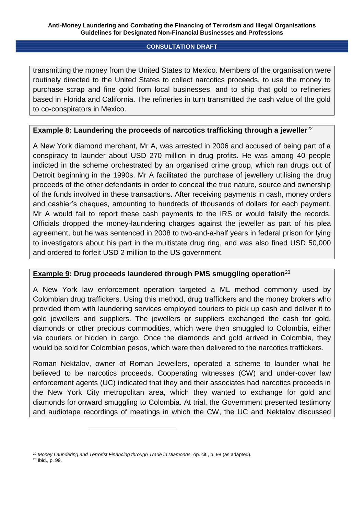transmitting the money from the United States to Mexico. Members of the organisation were routinely directed to the United States to collect narcotics proceeds, to use the money to purchase scrap and fine gold from local businesses, and to ship that gold to refineries based in Florida and California. The refineries in turn transmitted the cash value of the gold to co-conspirators in Mexico.

## **Example 8: Laundering the proceeds of narcotics trafficking through a jeweller**<sup>22</sup>

A New York diamond merchant, Mr A, was arrested in 2006 and accused of being part of a conspiracy to launder about USD 270 million in drug profits. He was among 40 people indicted in the scheme orchestrated by an organised crime group, which ran drugs out of Detroit beginning in the 1990s. Mr A facilitated the purchase of jewellery utilising the drug proceeds of the other defendants in order to conceal the true nature, source and ownership of the funds involved in these transactions. After receiving payments in cash, money orders and cashier's cheques, amounting to hundreds of thousands of dollars for each payment, Mr A would fail to report these cash payments to the IRS or would falsify the records. Officials dropped the money-laundering charges against the jeweller as part of his plea agreement, but he was sentenced in 2008 to two-and-a-half years in federal prison for lying to investigators about his part in the multistate drug ring, and was also fined USD 50,000 and ordered to forfeit USD 2 million to the US government.

## **Example 9: Drug proceeds laundered through PMS smuggling operation**<sup>23</sup>

A New York law enforcement operation targeted a ML method commonly used by Colombian drug traffickers. Using this method, drug traffickers and the money brokers who provided them with laundering services employed couriers to pick up cash and deliver it to gold jewellers and suppliers. The jewellers or suppliers exchanged the cash for gold, diamonds or other precious commodities, which were then smuggled to Colombia, either via couriers or hidden in cargo. Once the diamonds and gold arrived in Colombia, they would be sold for Colombian pesos, which were then delivered to the narcotics traffickers.

Roman Nektalov, owner of Roman Jewellers, operated a scheme to launder what he believed to be narcotics proceeds. Cooperating witnesses (CW) and under-cover law enforcement agents (UC) indicated that they and their associates had narcotics proceeds in the New York City metropolitan area, which they wanted to exchange for gold and diamonds for onward smuggling to Colombia. At trial, the Government presented testimony and audiotape recordings of meetings in which the CW, the UC and Nektalov discussed

<sup>&</sup>lt;sup>22</sup> Money Laundering and Terrorist Financing through Trade in Diamonds, op. cit., p. 98 (as adapted).

<sup>23</sup> Ibid., p. 99.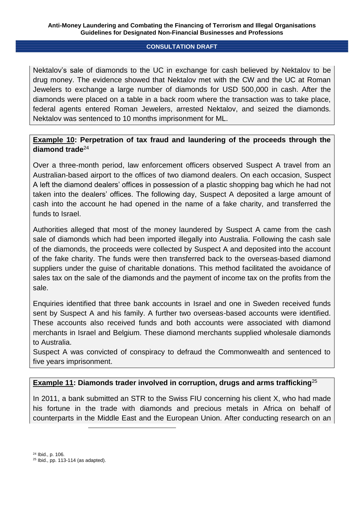Nektalov's sale of diamonds to the UC in exchange for cash believed by Nektalov to be drug money. The evidence showed that Nektalov met with the CW and the UC at Roman Jewelers to exchange a large number of diamonds for USD 500,000 in cash. After the diamonds were placed on a table in a back room where the transaction was to take place, federal agents entered Roman Jewelers, arrested Nektalov, and seized the diamonds. Nektalov was sentenced to 10 months imprisonment for ML.

## **Example 10: Perpetration of tax fraud and laundering of the proceeds through the diamond trade**<sup>24</sup>

Over a three-month period, law enforcement officers observed Suspect A travel from an Australian-based airport to the offices of two diamond dealers. On each occasion, Suspect A left the diamond dealers' offices in possession of a plastic shopping bag which he had not taken into the dealers' offices. The following day, Suspect A deposited a large amount of cash into the account he had opened in the name of a fake charity, and transferred the funds to Israel.

Authorities alleged that most of the money laundered by Suspect A came from the cash sale of diamonds which had been imported illegally into Australia. Following the cash sale of the diamonds, the proceeds were collected by Suspect A and deposited into the account of the fake charity. The funds were then transferred back to the overseas-based diamond suppliers under the guise of charitable donations. This method facilitated the avoidance of sales tax on the sale of the diamonds and the payment of income tax on the profits from the sale.

Enquiries identified that three bank accounts in Israel and one in Sweden received funds sent by Suspect A and his family. A further two overseas-based accounts were identified. These accounts also received funds and both accounts were associated with diamond merchants in Israel and Belgium. These diamond merchants supplied wholesale diamonds to Australia.

Suspect A was convicted of conspiracy to defraud the Commonwealth and sentenced to five years imprisonment.

## **Example 11: Diamonds trader involved in corruption, drugs and arms trafficking**<sup>25</sup>

In 2011, a bank submitted an STR to the Swiss FIU concerning his client X, who had made his fortune in the trade with diamonds and precious metals in Africa on behalf of counterparts in the Middle East and the European Union. After conducting research on an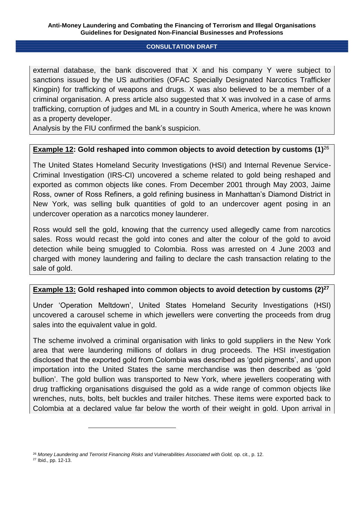external database, the bank discovered that X and his company Y were subject to sanctions issued by the US authorities (OFAC Specially Designated Narcotics Trafficker Kingpin) for trafficking of weapons and drugs. X was also believed to be a member of a criminal organisation. A press article also suggested that X was involved in a case of arms trafficking, corruption of judges and ML in a country in South America, where he was known as a property developer.

Analysis by the FIU confirmed the bank's suspicion.

## **Example 12: Gold reshaped into common objects to avoid detection by customs (1)**<sup>26</sup>

The United States Homeland Security Investigations (HSI) and Internal Revenue Service-Criminal Investigation (IRS-CI) uncovered a scheme related to gold being reshaped and exported as common objects like cones. From December 2001 through May 2003, Jaime Ross, owner of Ross Refiners, a gold refining business in Manhattan's Diamond District in New York, was selling bulk quantities of gold to an undercover agent posing in an undercover operation as a narcotics money launderer.

Ross would sell the gold, knowing that the currency used allegedly came from narcotics sales. Ross would recast the gold into cones and alter the colour of the gold to avoid detection while being smuggled to Colombia. Ross was arrested on 4 June 2003 and charged with money laundering and failing to declare the cash transaction relating to the sale of gold.

## **Example 13: Gold reshaped into common objects to avoid detection by customs (2)<sup>27</sup>**

Under 'Operation Meltdown', United States Homeland Security Investigations (HSI) uncovered a carousel scheme in which jewellers were converting the proceeds from drug sales into the equivalent value in gold.

The scheme involved a criminal organisation with links to gold suppliers in the New York area that were laundering millions of dollars in drug proceeds. The HSI investigation disclosed that the exported gold from Colombia was described as 'gold pigments', and upon importation into the United States the same merchandise was then described as 'gold bullion'. The gold bullion was transported to New York, where jewellers cooperating with drug trafficking organisations disguised the gold as a wide range of common objects like wrenches, nuts, bolts, belt buckles and trailer hitches. These items were exported back to Colombia at a declared value far below the worth of their weight in gold. Upon arrival in

<sup>&</sup>lt;sup>26</sup> Money Laundering and Terrorist Financing Risks and Vulnerabilities Associated with Gold, op. cit., p. 12. <sup>27</sup> Ibid., pp. 12-13.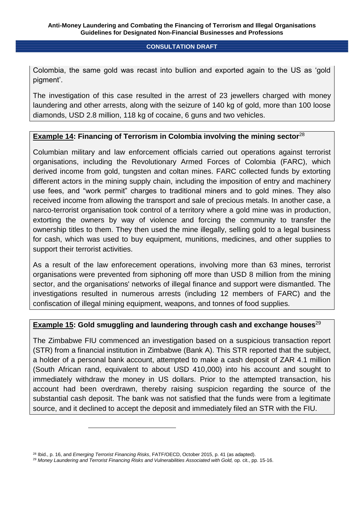Colombia, the same gold was recast into bullion and exported again to the US as 'gold pigment'.

The investigation of this case resulted in the arrest of 23 jewellers charged with money laundering and other arrests, along with the seizure of 140 kg of gold, more than 100 loose diamonds, USD 2.8 million, 118 kg of cocaine, 6 guns and two vehicles.

## **Example 14: Financing of Terrorism in Colombia involving the mining sector**<sup>28</sup>

Columbian military and law enforcement officials carried out operations against terrorist organisations, including the Revolutionary Armed Forces of Colombia (FARC), which derived income from gold, tungsten and coltan mines. FARC collected funds by extorting different actors in the mining supply chain, including the imposition of entry and machinery use fees, and "work permit" charges to traditional miners and to gold mines. They also received income from allowing the transport and sale of precious metals. In another case, a narco-terrorist organisation took control of a territory where a gold mine was in production, extorting the owners by way of violence and forcing the community to transfer the ownership titles to them. They then used the mine illegally, selling gold to a legal business for cash, which was used to buy equipment, munitions, medicines, and other supplies to support their terrorist activities.

As a result of the law enforecement operations, involving more than 63 mines, terrorist organisations were prevented from siphoning off more than USD 8 million from the mining sector, and the organisations' networks of illegal finance and support were dismantled. The investigations resulted in numerous arrests (including 12 members of FARC) and the confiscation of illegal mining equipment, weapons, and tonnes of food supplies.

## **Example 15: Gold smuggling and laundering through cash and exchange houses**<sup>29</sup>

The Zimbabwe FIU commenced an investigation based on a suspicious transaction report (STR) from a financial institution in Zimbabwe (Bank A). This STR reported that the subject, a holder of a personal bank account, attempted to make a cash deposit of ZAR 4.1 million (South African rand, equivalent to about USD 410,000) into his account and sought to immediately withdraw the money in US dollars. Prior to the attempted transaction, his account had been overdrawn, thereby raising suspicion regarding the source of the substantial cash deposit. The bank was not satisfied that the funds were from a legitimate source, and it declined to accept the deposit and immediately filed an STR with the FIU.

<sup>28</sup> Ibid., p. 16, and *Emerging Terrorist Financing Risks*, FATF/OECD, October 2015, p. 41 (as adapted).

<sup>&</sup>lt;sup>29</sup> Money Laundering and Terrorist Financing Risks and Vulnerabilities Associated with Gold, op. cit., pp. 15-16.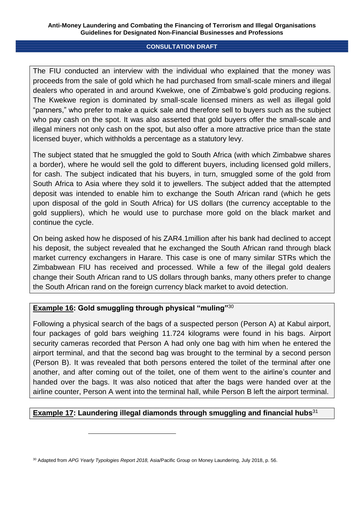The FIU conducted an interview with the individual who explained that the money was proceeds from the sale of gold which he had purchased from small-scale miners and illegal dealers who operated in and around Kwekwe, one of Zimbabwe's gold producing regions. The Kwekwe region is dominated by small-scale licensed miners as well as illegal gold "panners," who prefer to make a quick sale and therefore sell to buyers such as the subject who pay cash on the spot. It was also asserted that gold buyers offer the small-scale and illegal miners not only cash on the spot, but also offer a more attractive price than the state licensed buyer, which withholds a percentage as a statutory levy.

The subject stated that he smuggled the gold to South Africa (with which Zimbabwe shares a border), where he would sell the gold to different buyers, including licensed gold millers, for cash. The subject indicated that his buyers, in turn, smuggled some of the gold from South Africa to Asia where they sold it to jewellers. The subject added that the attempted deposit was intended to enable him to exchange the South African rand (which he gets upon disposal of the gold in South Africa) for US dollars (the currency acceptable to the gold suppliers), which he would use to purchase more gold on the black market and continue the cycle.

On being asked how he disposed of his ZAR4.1million after his bank had declined to accept his deposit, the subject revealed that he exchanged the South African rand through black market currency exchangers in Harare. This case is one of many similar STRs which the Zimbabwean FIU has received and processed. While a few of the illegal gold dealers change their South African rand to US dollars through banks, many others prefer to change the South African rand on the foreign currency black market to avoid detection.

# **Example 16: Gold smuggling through physical "muling"**30

1

Following a physical search of the bags of a suspected person (Person A) at Kabul airport, four packages of gold bars weighing 11.724 kilograms were found in his bags. Airport security cameras recorded that Person A had only one bag with him when he entered the airport terminal, and that the second bag was brought to the terminal by a second person (Person B). It was revealed that both persons entered the toilet of the terminal after one another, and after coming out of the toilet, one of them went to the airline's counter and handed over the bags. It was also noticed that after the bags were handed over at the airline counter, Person A went into the terminal hall, while Person B left the airport terminal.

## **Example 17: Laundering illegal diamonds through smuggling and financial hubs**<sup>31</sup>

<sup>30</sup> Adapted from *APG Yearly Typologies Report 2018,* Asia/Pacific Group on Money Laundering, July 2018, p. 56.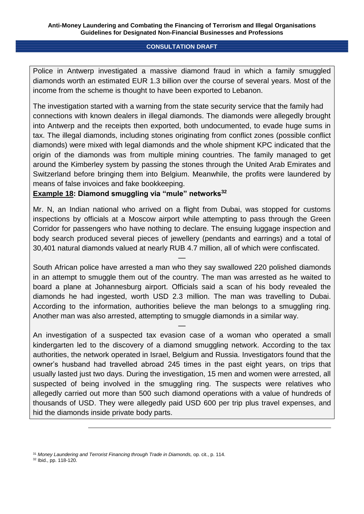Police in Antwerp investigated a massive diamond fraud in which a family smuggled diamonds worth an estimated EUR 1.3 billion over the course of several years. Most of the income from the scheme is thought to have been exported to Lebanon.

The investigation started with a warning from the state security service that the family had connections with known dealers in illegal diamonds. The diamonds were allegedly brought into Antwerp and the receipts then exported, both undocumented, to evade huge sums in tax. The illegal diamonds, including stones originating from conflict zones (possible conflict diamonds) were mixed with legal diamonds and the whole shipment KPC indicated that the origin of the diamonds was from multiple mining countries. The family managed to get around the Kimberley system by passing the stones through the United Arab Emirates and Switzerland before bringing them into Belgium. Meanwhile, the profits were laundered by means of false invoices and fake bookkeeping.

## **Example 18: Diamond smuggling via "mule" networks<sup>32</sup>**

Mr. N, an Indian national who arrived on a flight from Dubai, was stopped for customs inspections by officials at a Moscow airport while attempting to pass through the Green Corridor for passengers who have nothing to declare. The ensuing luggage inspection and body search produced several pieces of jewellery (pendants and earrings) and a total of 30,401 natural diamonds valued at nearly RUB 4.7 million, all of which were confiscated.

—

South African police have arrested a man who they say swallowed 220 polished diamonds in an attempt to smuggle them out of the country. The man was arrested as he waited to board a plane at Johannesburg airport. Officials said a scan of his body revealed the diamonds he had ingested, worth USD 2.3 million. The man was travelling to Dubai. According to the information, authorities believe the man belongs to a smuggling ring. Another man was also arrested, attempting to smuggle diamonds in a similar way.

—

An investigation of a suspected tax evasion case of a woman who operated a small kindergarten led to the discovery of a diamond smuggling network. According to the tax authorities, the network operated in Israel, Belgium and Russia. Investigators found that the owner's husband had travelled abroad 245 times in the past eight years, on trips that usually lasted just two days. During the investigation, 15 men and women were arrested, all suspected of being involved in the smuggling ring. The suspects were relatives who allegedly carried out more than 500 such diamond operations with a value of hundreds of thousands of USD. They were allegedly paid USD 600 per trip plus travel expenses, and hid the diamonds inside private body parts.

<sup>&</sup>lt;sup>31</sup> Money Laundering and Terrorist Financing through Trade in Diamonds, op. cit., p. 114.

<sup>32</sup> Ibid., pp. 118-120.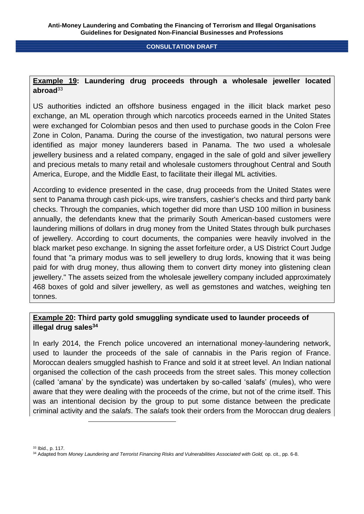## **Example 19: Laundering drug proceeds through a wholesale jeweller located abroad**<sup>33</sup>

US authorities indicted an offshore business engaged in the illicit black market peso exchange, an ML operation through which narcotics proceeds earned in the United States were exchanged for Colombian pesos and then used to purchase goods in the Colon Free Zone in Colon, Panama. During the course of the investigation, two natural persons were identified as major money launderers based in Panama. The two used a wholesale jewellery business and a related company, engaged in the sale of gold and silver jewellery and precious metals to many retail and wholesale customers throughout Central and South America, Europe, and the Middle East, to facilitate their illegal ML activities.

According to evidence presented in the case, drug proceeds from the United States were sent to Panama through cash pick-ups, wire transfers, cashier's checks and third party bank checks. Through the companies, which together did more than USD 100 million in business annually, the defendants knew that the primarily South American-based customers were laundering millions of dollars in drug money from the United States through bulk purchases of jewellery. According to court documents, the companies were heavily involved in the black market peso exchange. In signing the asset forfeiture order, a US District Court Judge found that "a primary modus was to sell jewellery to drug lords, knowing that it was being paid for with drug money, thus allowing them to convert dirty money into glistening clean jewellery." The assets seized from the wholesale jewellery company included approximately 468 boxes of gold and silver jewellery, as well as gemstones and watches, weighing ten tonnes.

## **Example 20: Third party gold smuggling syndicate used to launder proceeds of illegal drug sales<sup>34</sup>**

In early 2014, the French police uncovered an international money-laundering network, used to launder the proceeds of the sale of cannabis in the Paris region of France. Moroccan dealers smuggled hashish to France and sold it at street level. An Indian national organised the collection of the cash proceeds from the street sales. This money collection (called 'amana' by the syndicate) was undertaken by so-called 'salafs' (mules), who were aware that they were dealing with the proceeds of the crime, but not of the crime itself. This was an intentional decision by the group to put some distance between the predicate criminal activity and the *salafs*. The *salafs* took their orders from the Moroccan drug dealers

1

<sup>33</sup> Ibid., p. 117. 34 Adapted from Money Laundering and Terrorist Financing Risks and Vulnerabilities Associated with Gold, op. cit., pp. 6-8.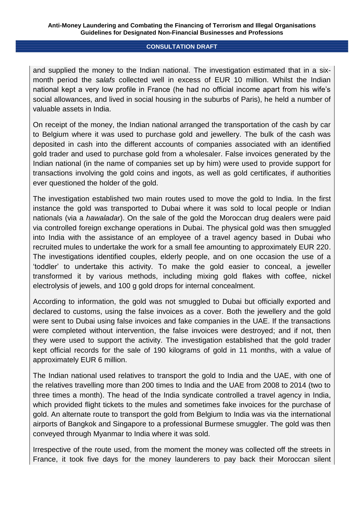and supplied the money to the Indian national. The investigation estimated that in a sixmonth period the *salafs* collected well in excess of EUR 10 million. Whilst the Indian national kept a very low profile in France (he had no official income apart from his wife's social allowances, and lived in social housing in the suburbs of Paris), he held a number of valuable assets in India.

On receipt of the money, the Indian national arranged the transportation of the cash by car to Belgium where it was used to purchase gold and jewellery. The bulk of the cash was deposited in cash into the different accounts of companies associated with an identified gold trader and used to purchase gold from a wholesaler. False invoices generated by the Indian national (in the name of companies set up by him) were used to provide support for transactions involving the gold coins and ingots, as well as gold certificates, if authorities ever questioned the holder of the gold.

The investigation established two main routes used to move the gold to India. In the first instance the gold was transported to Dubai where it was sold to local people or Indian nationals (via a *hawaladar*). On the sale of the gold the Moroccan drug dealers were paid via controlled foreign exchange operations in Dubai. The physical gold was then smuggled into India with the assistance of an employee of a travel agency based in Dubai who recruited mules to undertake the work for a small fee amounting to approximately EUR 220. The investigations identified couples, elderly people, and on one occasion the use of a 'toddler' to undertake this activity. To make the gold easier to conceal, a jeweller transformed it by various methods, including mixing gold flakes with coffee, nickel electrolysis of jewels, and 100 g gold drops for internal concealment.

According to information, the gold was not smuggled to Dubai but officially exported and declared to customs, using the false invoices as a cover. Both the jewellery and the gold were sent to Dubai using false invoices and fake companies in the UAE. If the transactions were completed without intervention, the false invoices were destroyed; and if not, then they were used to support the activity. The investigation established that the gold trader kept official records for the sale of 190 kilograms of gold in 11 months, with a value of approximately EUR 6 million.

The Indian national used relatives to transport the gold to India and the UAE, with one of the relatives travelling more than 200 times to India and the UAE from 2008 to 2014 (two to three times a month). The head of the India syndicate controlled a travel agency in India, which provided flight tickets to the mules and sometimes fake invoices for the purchase of gold. An alternate route to transport the gold from Belgium to India was via the international airports of Bangkok and Singapore to a professional Burmese smuggler. The gold was then conveyed through Myanmar to India where it was sold.

Irrespective of the route used, from the moment the money was collected off the streets in France, it took five days for the money launderers to pay back their Moroccan silent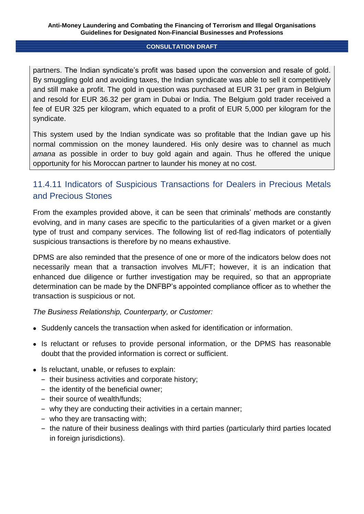partners. The Indian syndicate's profit was based upon the conversion and resale of gold. By smuggling gold and avoiding taxes, the Indian syndicate was able to sell it competitively and still make a profit. The gold in question was purchased at EUR 31 per gram in Belgium and resold for EUR 36.32 per gram in Dubai or India. The Belgium gold trader received a fee of EUR 325 per kilogram, which equated to a profit of EUR 5,000 per kilogram for the syndicate.

This system used by the Indian syndicate was so profitable that the Indian gave up his normal commission on the money laundered. His only desire was to channel as much *amana* as possible in order to buy gold again and again. Thus he offered the unique opportunity for his Moroccan partner to launder his money at no cost.

# 11.4.11 Indicators of Suspicious Transactions for Dealers in Precious Metals and Precious Stones

From the examples provided above, it can be seen that criminals' methods are constantly evolving, and in many cases are specific to the particularities of a given market or a given type of trust and company services. The following list of red-flag indicators of potentially suspicious transactions is therefore by no means exhaustive.

DPMS are also reminded that the presence of one or more of the indicators below does not necessarily mean that a transaction involves ML/FT; however, it is an indication that enhanced due diligence or further investigation may be required, so that an appropriate determination can be made by the DNFBP's appointed compliance officer as to whether the transaction is suspicious or not.

*The Business Relationship, Counterparty, or Customer:*

- Suddenly cancels the transaction when asked for identification or information.
- Is reluctant or refuses to provide personal information, or the DPMS has reasonable doubt that the provided information is correct or sufficient.
- Is reluctant, unable, or refuses to explain:
	- ‒ their business activities and corporate history;
	- ‒ the identity of the beneficial owner;
	- their source of wealth/funds:
	- ‒ why they are conducting their activities in a certain manner;
	- ‒ who they are transacting with;
	- ‒ the nature of their business dealings with third parties (particularly third parties located in foreign jurisdictions).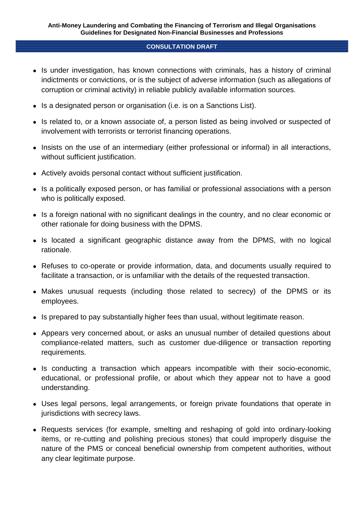- Is under investigation, has known connections with criminals, has a history of criminal indictments or convictions, or is the subject of adverse information (such as allegations of corruption or criminal activity) in reliable publicly available information sources.
- Is a designated person or organisation (i.e. is on a Sanctions List).
- Is related to, or a known associate of, a person listed as being involved or suspected of involvement with terrorists or terrorist financing operations.
- Insists on the use of an intermediary (either professional or informal) in all interactions, without sufficient justification.
- Actively avoids personal contact without sufficient justification.
- Is a politically exposed person, or has familial or professional associations with a person who is politically exposed.
- Is a foreign national with no significant dealings in the country, and no clear economic or other rationale for doing business with the DPMS.
- Is located a significant geographic distance away from the DPMS, with no logical rationale.
- Refuses to co-operate or provide information, data, and documents usually required to facilitate a transaction, or is unfamiliar with the details of the requested transaction.
- Makes unusual requests (including those related to secrecy) of the DPMS or its employees.
- Is prepared to pay substantially higher fees than usual, without legitimate reason.
- Appears very concerned about, or asks an unusual number of detailed questions about compliance-related matters, such as customer due-diligence or transaction reporting requirements.
- Is conducting a transaction which appears incompatible with their socio-economic, educational, or professional profile, or about which they appear not to have a good understanding.
- Uses legal persons, legal arrangements, or foreign private foundations that operate in jurisdictions with secrecy laws.
- Requests services (for example, smelting and reshaping of gold into ordinary-looking items, or re-cutting and polishing precious stones) that could improperly disguise the nature of the PMS or conceal beneficial ownership from competent authorities, without any clear legitimate purpose.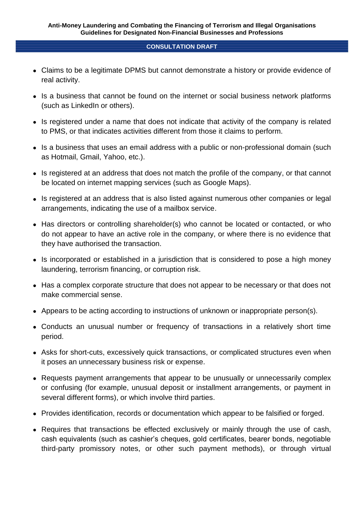- Claims to be a legitimate DPMS but cannot demonstrate a history or provide evidence of real activity.
- Is a business that cannot be found on the internet or social business network platforms (such as LinkedIn or others).
- Is registered under a name that does not indicate that activity of the company is related to PMS, or that indicates activities different from those it claims to perform.
- Is a business that uses an email address with a public or non-professional domain (such as Hotmail, Gmail, Yahoo, etc.).
- Is registered at an address that does not match the profile of the company, or that cannot be located on internet mapping services (such as Google Maps).
- Is registered at an address that is also listed against numerous other companies or legal arrangements, indicating the use of a mailbox service.
- Has directors or controlling shareholder(s) who cannot be located or contacted, or who do not appear to have an active role in the company, or where there is no evidence that they have authorised the transaction.
- Is incorporated or established in a jurisdiction that is considered to pose a high money laundering, terrorism financing, or corruption risk.
- Has a complex corporate structure that does not appear to be necessary or that does not make commercial sense.
- Appears to be acting according to instructions of unknown or inappropriate person(s).
- Conducts an unusual number or frequency of transactions in a relatively short time period.
- Asks for short-cuts, excessively quick transactions, or complicated structures even when it poses an unnecessary business risk or expense.
- Requests payment arrangements that appear to be unusually or unnecessarily complex or confusing (for example, unusual deposit or installment arrangements, or payment in several different forms), or which involve third parties.
- Provides identification, records or documentation which appear to be falsified or forged.
- Requires that transactions be effected exclusively or mainly through the use of cash, cash equivalents (such as cashier's cheques, gold certificates, bearer bonds, negotiable third-party promissory notes, or other such payment methods), or through virtual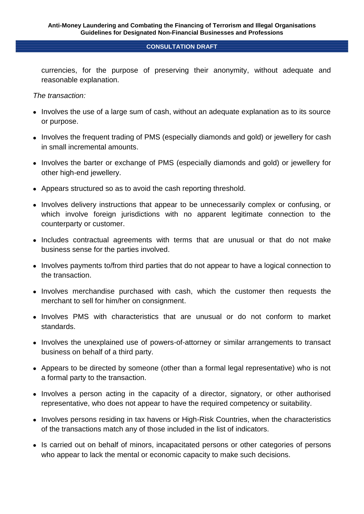currencies, for the purpose of preserving their anonymity, without adequate and reasonable explanation.

*The transaction:*

- Involves the use of a large sum of cash, without an adequate explanation as to its source or purpose.
- Involves the frequent trading of PMS (especially diamonds and gold) or jewellery for cash in small incremental amounts.
- Involves the barter or exchange of PMS (especially diamonds and gold) or jewellery for other high-end jewellery.
- Appears structured so as to avoid the cash reporting threshold.
- Involves delivery instructions that appear to be unnecessarily complex or confusing, or which involve foreign jurisdictions with no apparent legitimate connection to the counterparty or customer.
- Includes contractual agreements with terms that are unusual or that do not make business sense for the parties involved.
- Involves payments to/from third parties that do not appear to have a logical connection to the transaction.
- Involves merchandise purchased with cash, which the customer then requests the merchant to sell for him/her on consignment.
- Involves PMS with characteristics that are unusual or do not conform to market standards.
- Involves the unexplained use of powers-of-attorney or similar arrangements to transact business on behalf of a third party.
- Appears to be directed by someone (other than a formal legal representative) who is not a formal party to the transaction.
- Involves a person acting in the capacity of a director, signatory, or other authorised representative, who does not appear to have the required competency or suitability.
- Involves persons residing in tax havens or High-Risk Countries, when the characteristics of the transactions match any of those included in the list of indicators.
- Is carried out on behalf of minors, incapacitated persons or other categories of persons who appear to lack the mental or economic capacity to make such decisions.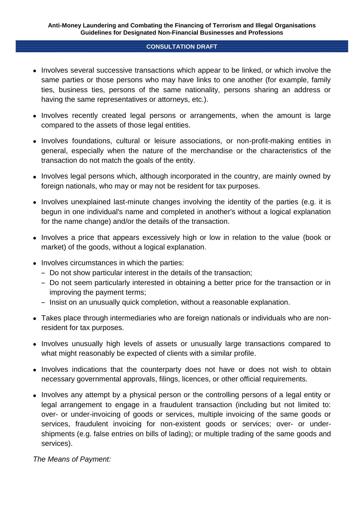- Involves several successive transactions which appear to be linked, or which involve the same parties or those persons who may have links to one another (for example, family ties, business ties, persons of the same nationality, persons sharing an address or having the same representatives or attorneys, etc.).
- Involves recently created legal persons or arrangements, when the amount is large compared to the assets of those legal entities.
- Involves foundations, cultural or leisure associations, or non-profit-making entities in general, especially when the nature of the merchandise or the characteristics of the transaction do not match the goals of the entity.
- Involves legal persons which, although incorporated in the country, are mainly owned by foreign nationals, who may or may not be resident for tax purposes.
- Involves unexplained last-minute changes involving the identity of the parties (e.g. it is begun in one individual's name and completed in another's without a logical explanation for the name change) and/or the details of the transaction.
- Involves a price that appears excessively high or low in relation to the value (book or market) of the goods, without a logical explanation.
- Involves circumstances in which the parties:
	- ‒ Do not show particular interest in the details of the transaction;
	- ‒ Do not seem particularly interested in obtaining a better price for the transaction or in improving the payment terms;
	- Insist on an unusually quick completion, without a reasonable explanation.
- Takes place through intermediaries who are foreign nationals or individuals who are nonresident for tax purposes.
- Involves unusually high levels of assets or unusually large transactions compared to what might reasonably be expected of clients with a similar profile.
- Involves indications that the counterparty does not have or does not wish to obtain necessary governmental approvals, filings, licences, or other official requirements.
- Involves any attempt by a physical person or the controlling persons of a legal entity or legal arrangement to engage in a fraudulent transaction (including but not limited to: over- or under-invoicing of goods or services, multiple invoicing of the same goods or services, fraudulent invoicing for non-existent goods or services; over- or undershipments (e.g. false entries on bills of lading); or multiple trading of the same goods and services).

*The Means of Payment:*